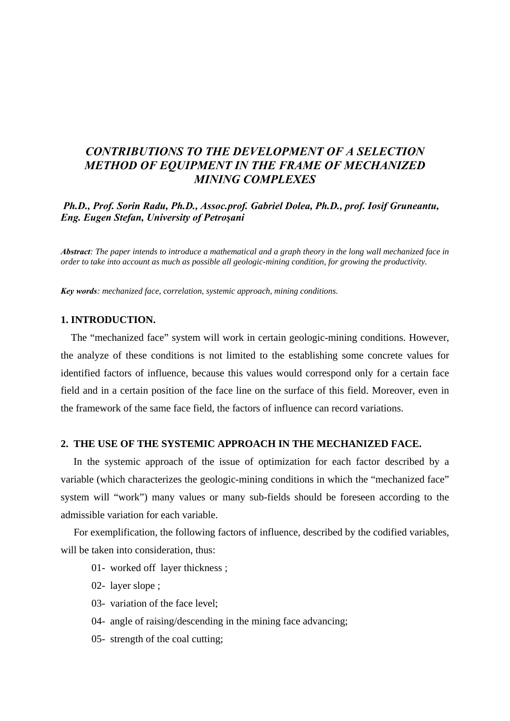# *CONTRIBUTIONS TO THE DEVELOPMENT OF A SELECTION METHOD OF EQUIPMENT IN THE FRAME OF MECHANIZED MINING COMPLEXES*

 *Ph.D., Prof. Sorin Radu, Ph.D., Assoc.prof. Gabriel Dolea, Ph.D., prof. Iosif Gruneantu, Eng. Eugen Stefan, University of Petroşani* 

*Abstract: The paper intends to introduce a mathematical and a graph theory in the long wall mechanized face in order to take into account as much as possible all geologic-mining condition, for growing the productivity.* 

*Key words: mechanized face, correlation, systemic approach, mining conditions.* 

### **1. INTRODUCTION.**

 The "mechanized face" system will work in certain geologic-mining conditions. However, the analyze of these conditions is not limited to the establishing some concrete values for identified factors of influence, because this values would correspond only for a certain face field and in a certain position of the face line on the surface of this field. Moreover, even in the framework of the same face field, the factors of influence can record variations.

#### **2. THE USE OF THE SYSTEMIC APPROACH IN THE MECHANIZED FACE.**

 In the systemic approach of the issue of optimization for each factor described by a variable (which characterizes the geologic-mining conditions in which the "mechanized face" system will "work") many values or many sub-fields should be foreseen according to the admissible variation for each variable.

 For exemplification, the following factors of influence, described by the codified variables, will be taken into consideration, thus:

- 01- worked off layer thickness ;
- 02- layer slope ;
- 03- variation of the face level;
- 04- angle of raising/descending in the mining face advancing;
- 05- strength of the coal cutting;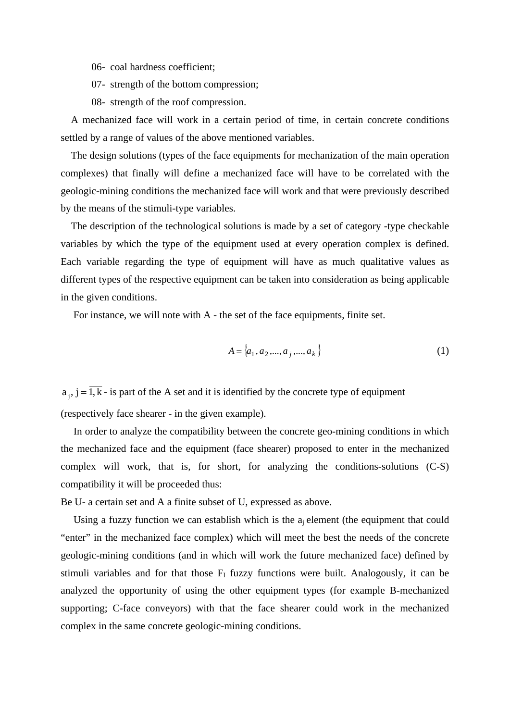06- coal hardness coefficient;

07- strength of the bottom compression;

08- strength of the roof compression.

 A mechanized face will work in a certain period of time, in certain concrete conditions settled by a range of values of the above mentioned variables.

 The design solutions (types of the face equipments for mechanization of the main operation complexes) that finally will define a mechanized face will have to be correlated with the geologic-mining conditions the mechanized face will work and that were previously described by the means of the stimuli-type variables.

 The description of the technological solutions is made by a set of category -type checkable variables by which the type of the equipment used at every operation complex is defined. Each variable regarding the type of equipment will have as much qualitative values as different types of the respective equipment can be taken into consideration as being applicable in the given conditions.

For instance, we will note with A - the set of the face equipments, finite set.

$$
A = \{a_1, a_2, \dots, a_j, \dots, a_k\}
$$
 (1)

 $a_i, j = \overline{1, k}$  - is part of the A set and it is identified by the concrete type of equipment (respectively face shearer - in the given example).

 In order to analyze the compatibility between the concrete geo-mining conditions in which the mechanized face and the equipment (face shearer) proposed to enter in the mechanized complex will work, that is, for short, for analyzing the conditions-solutions (C-S) compatibility it will be proceeded thus:

Be U- a certain set and A a finite subset of U, expressed as above.

Using a fuzzy function we can establish which is the  $a_i$  element (the equipment that could "enter" in the mechanized face complex) which will meet the best the needs of the concrete geologic-mining conditions (and in which will work the future mechanized face) defined by stimuli variables and for that those  $F<sub>I</sub>$  fuzzy functions were built. Analogously, it can be analyzed the opportunity of using the other equipment types (for example B-mechanized supporting; C-face conveyors) with that the face shearer could work in the mechanized complex in the same concrete geologic-mining conditions.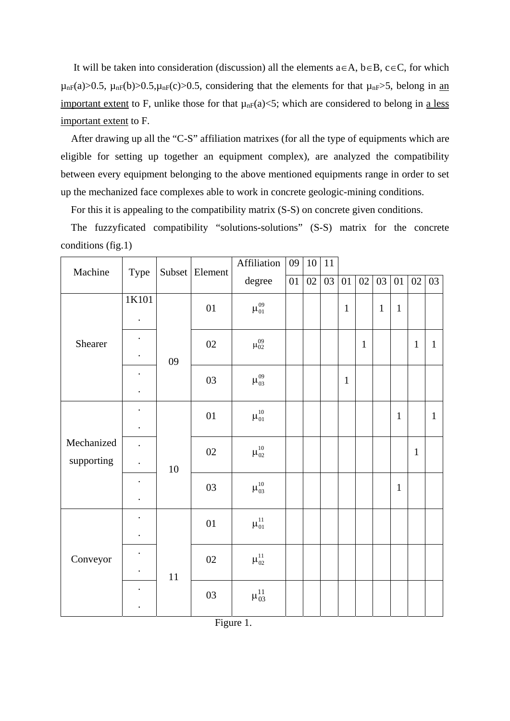It will be taken into consideration (discussion) all the elements  $a \in A$ ,  $b \in B$ ,  $c \in C$ , for which  $\mu_{nF}(a) > 0.5$ ,  $\mu_{nF}(b) > 0.5$ ,  $\mu_{nF}(c) > 0.5$ , considering that the elements for that  $\mu_{nF} > 5$ , belong in an important extent to F, unlike those for that  $\mu_{n}F(a) \leq 5$ ; which are considered to belong in a less important extent to F.

 After drawing up all the "C-S" affiliation matrixes (for all the type of equipments which are eligible for setting up together an equipment complex), are analyzed the compatibility between every equipment belonging to the above mentioned equipments range in order to set up the mechanized face complexes able to work in concrete geologic-mining conditions.

For this it is appealing to the compatibility matrix (S-S) on concrete given conditions.

 The fuzzyficated compatibility "solutions-solutions" (S-S) matrix for the concrete conditions (fig.1)

| Machine                  | Type                                         |        | Subset Element | Affiliation     | 09 | 10 | $11\,$ |              |              |              |              |                 |              |
|--------------------------|----------------------------------------------|--------|----------------|-----------------|----|----|--------|--------------|--------------|--------------|--------------|-----------------|--------------|
|                          |                                              |        |                | $\rm degree$    | 01 | 02 | 03     | 01           | 02           | 03           | 01           | $\overline{02}$ | 03           |
| Shearer                  | 1K101                                        |        | 01             | $\mu_{01}^{09}$ |    |    |        | $\mathbf{1}$ |              | $\mathbf{1}$ | $\mathbf{1}$ |                 |              |
|                          | $\ddot{\phantom{0}}$<br>$\bullet$            | 09     | 02             | $\mu_{02}^{09}$ |    |    |        |              | $\mathbf{1}$ |              |              | $\mathbf{1}$    | $\mathbf{1}$ |
|                          |                                              |        | 03             | $\mu_{03}^{09}$ |    |    |        | $\mathbf{1}$ |              |              |              |                 |              |
| Mechanized<br>supporting | $\ddot{\phantom{0}}$<br>$\ddot{\phantom{0}}$ |        | 01             | $\mu_{01}^{10}$ |    |    |        |              |              |              | $\mathbf{1}$ |                 | $\mathbf{1}$ |
|                          | $\ddot{\phantom{0}}$<br>$\ddot{\phantom{0}}$ | 10     | 02             | $\mu^{10}_{02}$ |    |    |        |              |              |              |              | $\mathbf{1}$    |              |
|                          | $\ddot{\phantom{0}}$                         |        | 03             | $\mu_{03}^{10}$ |    |    |        |              |              |              | $\mathbf{1}$ |                 |              |
| Conveyor                 | $\ddot{\phantom{0}}$<br>$\ddot{\phantom{0}}$ | $11\,$ | 01             | $\mu_{01}^{11}$ |    |    |        |              |              |              |              |                 |              |
|                          | $\bullet$                                    |        | 02             | $\mu_{02}^{11}$ |    |    |        |              |              |              |              |                 |              |
|                          |                                              |        | 03             | $\mu_{03}^{11}$ |    |    |        |              |              |              |              |                 |              |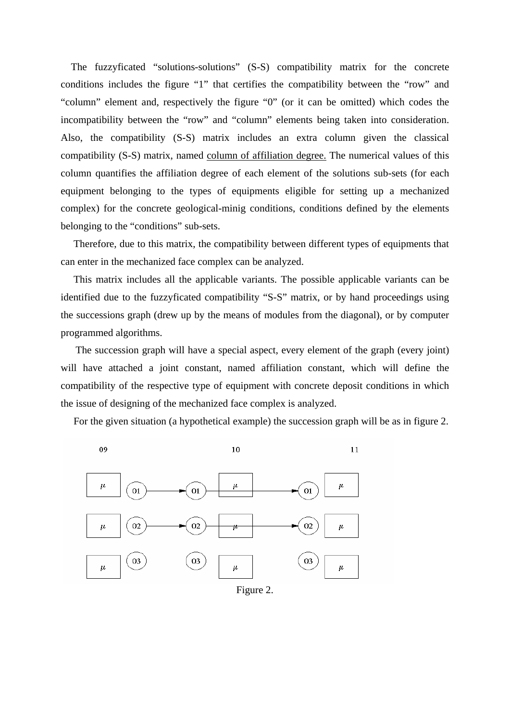The fuzzyficated "solutions-solutions" (S-S) compatibility matrix for the concrete conditions includes the figure "1" that certifies the compatibility between the "row" and "column" element and, respectively the figure "0" (or it can be omitted) which codes the incompatibility between the "row" and "column" elements being taken into consideration. Also, the compatibility (S-S) matrix includes an extra column given the classical compatibility (S-S) matrix, named column of affiliation degree. The numerical values of this column quantifies the affiliation degree of each element of the solutions sub-sets (for each equipment belonging to the types of equipments eligible for setting up a mechanized complex) for the concrete geological-minig conditions, conditions defined by the elements belonging to the "conditions" sub-sets.

 Therefore, due to this matrix, the compatibility between different types of equipments that can enter in the mechanized face complex can be analyzed.

 This matrix includes all the applicable variants. The possible applicable variants can be identified due to the fuzzyficated compatibility "S-S" matrix, or by hand proceedings using the successions graph (drew up by the means of modules from the diagonal), or by computer programmed algorithms.

 The succession graph will have a special aspect, every element of the graph (every joint) will have attached a joint constant, named affiliation constant, which will define the compatibility of the respective type of equipment with concrete deposit conditions in which the issue of designing of the mechanized face complex is analyzed.

For the given situation (a hypothetical example) the succession graph will be as in figure 2.



Figure 2.